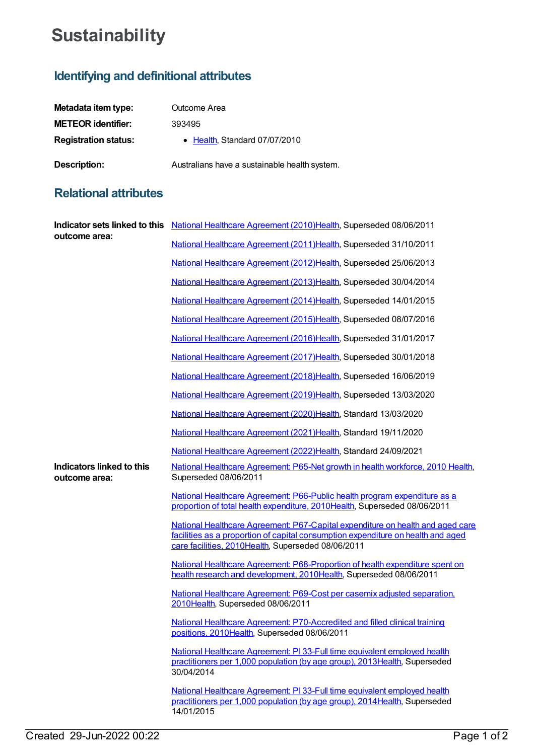## **Sustainability**

## **Identifying and definitional attributes**

| Metadata item type:         | Outcome Area                                  |
|-----------------------------|-----------------------------------------------|
| <b>METEOR identifier:</b>   | 393495                                        |
| <b>Registration status:</b> | • Health, Standard 07/07/2010                 |
| Description:                | Australians have a sustainable health system. |

## **Relational attributes**

| outcome area:                              | Indicator sets linked to this National Healthcare Agreement (2010) Health, Superseded 08/06/2011                                                                                                                         |
|--------------------------------------------|--------------------------------------------------------------------------------------------------------------------------------------------------------------------------------------------------------------------------|
|                                            | National Healthcare Agreement (2011) Health, Superseded 31/10/2011                                                                                                                                                       |
|                                            | National Healthcare Agreement (2012)Health, Superseded 25/06/2013                                                                                                                                                        |
|                                            | National Healthcare Agreement (2013) Health, Superseded 30/04/2014                                                                                                                                                       |
|                                            | National Healthcare Agreement (2014) Health, Superseded 14/01/2015                                                                                                                                                       |
|                                            | National Healthcare Agreement (2015)Health, Superseded 08/07/2016                                                                                                                                                        |
|                                            | National Healthcare Agreement (2016)Health, Superseded 31/01/2017                                                                                                                                                        |
|                                            | National Healthcare Agreement (2017) Health, Superseded 30/01/2018                                                                                                                                                       |
|                                            | National Healthcare Agreement (2018)Health, Superseded 16/06/2019                                                                                                                                                        |
|                                            | National Healthcare Agreement (2019)Health, Superseded 13/03/2020                                                                                                                                                        |
|                                            | National Healthcare Agreement (2020)Health, Standard 13/03/2020                                                                                                                                                          |
|                                            | National Healthcare Agreement (2021) Health, Standard 19/11/2020                                                                                                                                                         |
|                                            | National Healthcare Agreement (2022)Health, Standard 24/09/2021                                                                                                                                                          |
| Indicators linked to this<br>outcome area: | National Healthcare Agreement: P65-Net growth in health workforce, 2010 Health,<br>Superseded 08/06/2011                                                                                                                 |
|                                            | National Healthcare Agreement: P66-Public health program expenditure as a<br>proportion of total health expenditure, 2010Health, Superseded 08/06/2011                                                                   |
|                                            | National Healthcare Agreement: P67-Capital expenditure on health and aged care<br>facilities as a proportion of capital consumption expenditure on health and aged<br>care facilities, 2010Health, Superseded 08/06/2011 |
|                                            | National Healthcare Agreement: P68-Proportion of health expenditure spent on<br>health research and development, 2010Health, Superseded 08/06/2011                                                                       |
|                                            | National Healthcare Agreement: P69-Cost per casemix adjusted separation.<br>2010Health, Superseded 08/06/2011                                                                                                            |
|                                            | National Healthcare Agreement: P70-Accredited and filled clinical training<br>positions, 2010Health, Superseded 08/06/2011                                                                                               |
|                                            | National Healthcare Agreement: PI33-Full time equivalent employed health<br>practitioners per 1,000 population (by age group), 2013 Health, Superseded<br>30/04/2014                                                     |
|                                            | National Healthcare Agreement: PI 33-Full time equivalent employed health<br>practitioners per 1,000 population (by age group), 2014 Health, Superseded<br>14/01/2015                                                    |